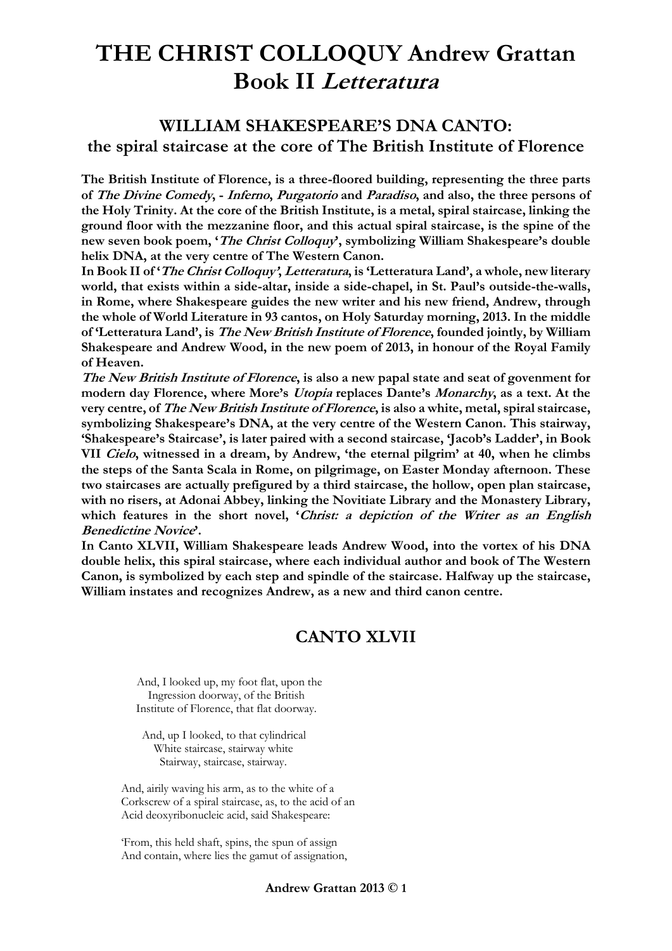### **WILLIAM SHAKESPEARE'S DNA CANTO: the spiral staircase at the core of The British Institute of Florence**

**The British Institute of Florence, is a three-floored building, representing the three parts of The Divine Comedy, - Inferno, Purgatorio and Paradiso, and also, the three persons of the Holy Trinity. At the core of the British Institute, is a metal, spiral staircase, linking the ground floor with the mezzanine floor, and this actual spiral staircase, is the spine of the new seven book poem, 'The Christ Colloquy', symbolizing William Shakespeare's double helix DNA, at the very centre of The Western Canon.**

**In Book II of 'The Christ Colloquy', Letteratura, is 'Letteratura Land', a whole, new literary world, that exists within a side-altar, inside a side-chapel, in St. Paul's outside-the-walls, in Rome, where Shakespeare guides the new writer and his new friend, Andrew, through the whole of World Literature in 93 cantos, on Holy Saturday morning, 2013. In the middle of 'Letteratura Land', is The New British Institute of Florence, founded jointly, by William Shakespeare and Andrew Wood, in the new poem of 2013, in honour of the Royal Family of Heaven.**

**The New British Institute of Florence, is also a new papal state and seat of govenment for modern day Florence, where More's Utopia replaces Dante's Monarchy, as a text. At the very centre, of The New British Institute of Florence, is also a white, metal, spiral staircase, symbolizing Shakespeare's DNA, at the very centre of the Western Canon. This stairway, 'Shakespeare's Staircase', is later paired with a second staircase, 'Jacob's Ladder', in Book VII Cielo, witnessed in a dream, by Andrew, 'the eternal pilgrim' at 40, when he climbs the steps of the Santa Scala in Rome, on pilgrimage, on Easter Monday afternoon. These two staircases are actually prefigured by a third staircase, the hollow, open plan staircase, with no risers, at Adonai Abbey, linking the Novitiate Library and the Monastery Library, which features in the short novel, 'Christ: a depiction of the Writer as an English Benedictine Novice'.**

**In Canto XLVII, William Shakespeare leads Andrew Wood, into the vortex of his DNA double helix, this spiral staircase, where each individual author and book of The Western Canon, is symbolized by each step and spindle of the staircase. Halfway up the staircase, William instates and recognizes Andrew, as a new and third canon centre.**

## **CANTO XLVII**

 And, I looked up, my foot flat, upon the Ingression doorway, of the British Institute of Florence, that flat doorway.

 And, up I looked, to that cylindrical White staircase, stairway white Stairway, staircase, stairway.

And, airily waving his arm, as to the white of a Corkscrew of a spiral staircase, as, to the acid of an Acid deoxyribonucleic acid, said Shakespeare:

'From, this held shaft, spins, the spun of assign And contain, where lies the gamut of assignation,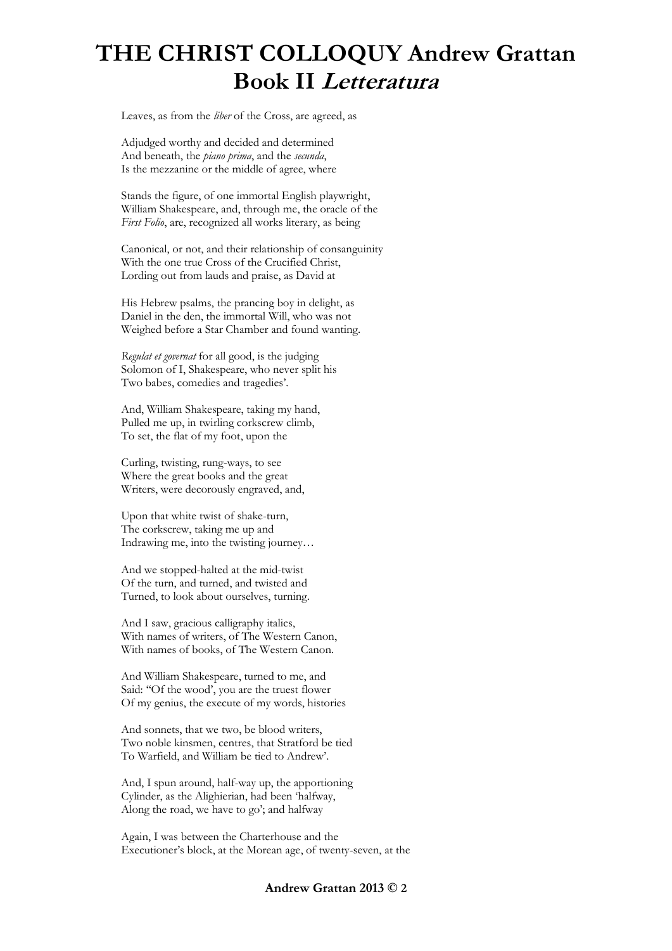Leaves, as from the *liber* of the Cross, are agreed, as

Adjudged worthy and decided and determined And beneath, the *piano prima*, and the *secunda*, Is the mezzanine or the middle of agree, where

Stands the figure, of one immortal English playwright, William Shakespeare, and, through me, the oracle of the *First Folio*, are, recognized all works literary, as being

Canonical, or not, and their relationship of consanguinity With the one true Cross of the Crucified Christ, Lording out from lauds and praise, as David at

His Hebrew psalms, the prancing boy in delight, as Daniel in the den, the immortal Will, who was not Weighed before a Star Chamber and found wanting.

*Regulat et governat* for all good, is the judging Solomon of I, Shakespeare, who never split his Two babes, comedies and tragedies'.

And, William Shakespeare, taking my hand, Pulled me up, in twirling corkscrew climb, To set, the flat of my foot, upon the

Curling, twisting, rung-ways, to see Where the great books and the great Writers, were decorously engraved, and,

Upon that white twist of shake-turn, The corkscrew, taking me up and Indrawing me, into the twisting journey…

And we stopped-halted at the mid-twist Of the turn, and turned, and twisted and Turned, to look about ourselves, turning.

And I saw, gracious calligraphy italics, With names of writers, of The Western Canon, With names of books, of The Western Canon.

And William Shakespeare, turned to me, and Said: ''Of the wood', you are the truest flower Of my genius, the execute of my words, histories

And sonnets, that we two, be blood writers, Two noble kinsmen, centres, that Stratford be tied To Warfield, and William be tied to Andrew'.

And, I spun around, half-way up, the apportioning Cylinder, as the Alighierian, had been 'halfway, Along the road, we have to go'; and halfway

Again, I was between the Charterhouse and the Executioner's block, at the Morean age, of twenty-seven, at the

#### **Andrew Grattan 2013 © 2**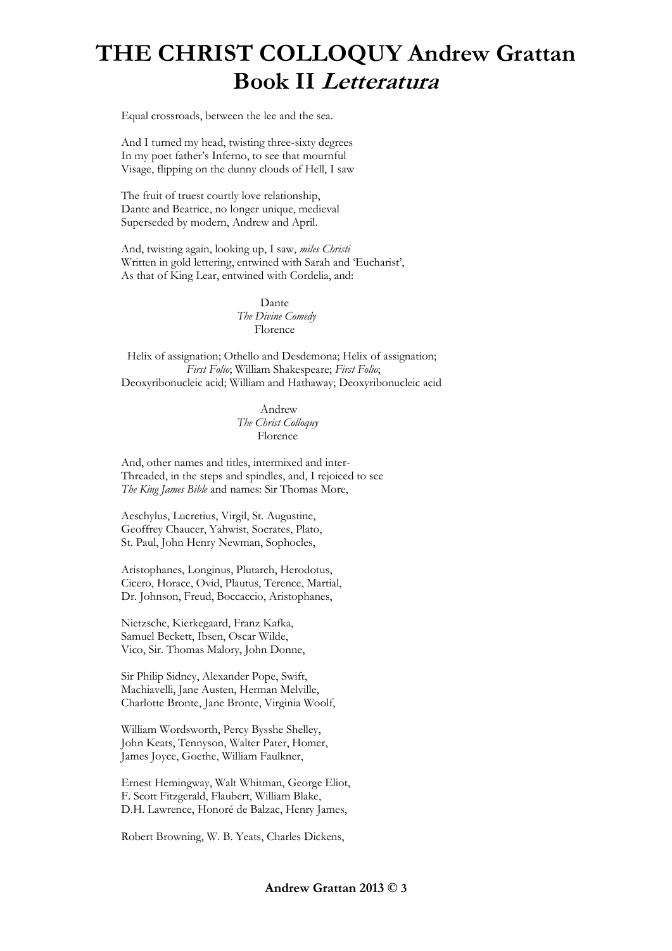Equal crossroads, between the lee and the sea.

And I turned my head, twisting three-sixty degrees In my poet father's Inferno, to see that mournful Visage, flipping on the dunny clouds of Hell, I saw

The fruit of truest courtly love relationship, Dante and Beatrice, no longer unique, medieval Superseded by modern, Andrew and April.

And, twisting again, looking up, I saw, *miles Christi* Written in gold lettering, entwined with Sarah and 'Eucharist', As that of King Lear, entwined with Cordelia, and:

> Dante *The Divine Comedy* Florence

 Helix of assignation; Othello and Desdemona; Helix of assignation;  *First Folio*; William Shakespeare; *First Folio*; Deoxyribonucleic acid; William and Hathaway; Deoxyribonucleic acid

> Andrew *The Christ Colloquy* Florence

And, other names and titles, intermixed and inter-Threaded, in the steps and spindles, and, I rejoiced to see *The King James Bible* and names: Sir Thomas More,

Aeschylus, Lucretius, Virgil, St. Augustine, Geoffrey Chaucer, Yahwist, Socrates, Plato, St. Paul, John Henry Newman, Sophocles,

Aristophanes, Longinus, Plutarch, Herodotus, Cicero, Horace, Ovid, Plautus, Terence, Martial, Dr. Johnson, Freud, Boccaccio, Aristophanes,

Nietzsche, Kierkegaard, Franz Kafka, Samuel Beckett, Ibsen, Oscar Wilde, Vico, Sir. Thomas Malory, John Donne,

Sir Philip Sidney, Alexander Pope, Swift, Machiavelli, Jane Austen, Herman Melville, Charlotte Bronte, Jane Bronte, Virginia Woolf,

William Wordsworth, Percy Bysshe Shelley, John Keats, Tennyson, Walter Pater, Homer, James Joyce, Goethe, William Faulkner,

Ernest Hemingway, Walt Whitman, George Eliot, F. Scott Fitzgerald, Flaubert, William Blake, D.H. Lawrence, Honoré de Balzac, Henry James,

Robert Browning, W. B. Yeats, Charles Dickens,